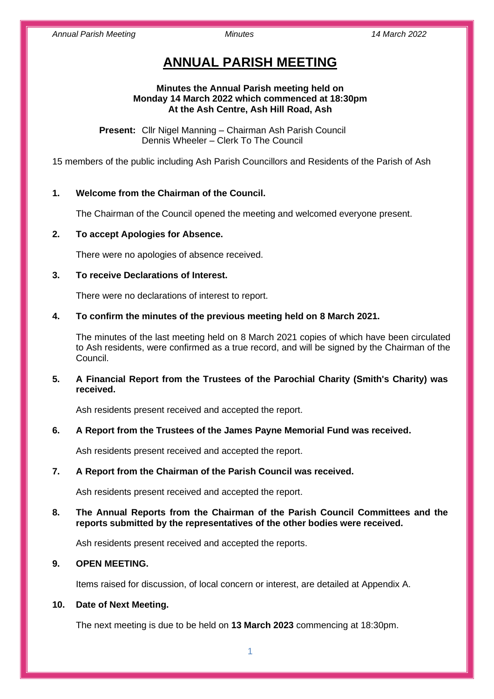# **ANNUAL PARISH MEETING**

## **Minutes the Annual Parish meeting held on Monday 14 March 2022 which commenced at 18:30pm At the Ash Centre, Ash Hill Road, Ash**

**Present:** Cllr Nigel Manning – Chairman Ash Parish Council Dennis Wheeler – Clerk To The Council

15 members of the public including Ash Parish Councillors and Residents of the Parish of Ash

# **1. Welcome from the Chairman of the Council.**

The Chairman of the Council opened the meeting and welcomed everyone present.

# **2. To accept Apologies for Absence.**

There were no apologies of absence received.

# **3. To receive Declarations of Interest.**

There were no declarations of interest to report.

# **4. To confirm the minutes of the previous meeting held on 8 March 2021.**

The minutes of the last meeting held on 8 March 2021 copies of which have been circulated to Ash residents, were confirmed as a true record, and will be signed by the Chairman of the Council.

# **5. A Financial Report from the Trustees of the Parochial Charity (Smith's Charity) was received.**

Ash residents present received and accepted the report.

## **6. A Report from the Trustees of the James Payne Memorial Fund was received.**

Ash residents present received and accepted the report.

# **7. A Report from the Chairman of the Parish Council was received.**

Ash residents present received and accepted the report.

# **8. The Annual Reports from the Chairman of the Parish Council Committees and the reports submitted by the representatives of the other bodies were received.**

Ash residents present received and accepted the reports.

# **9. OPEN MEETING.**

Items raised for discussion, of local concern or interest, are detailed at Appendix A.

## **10. Date of Next Meeting.**

The next meeting is due to be held on **13 March 2023** commencing at 18:30pm.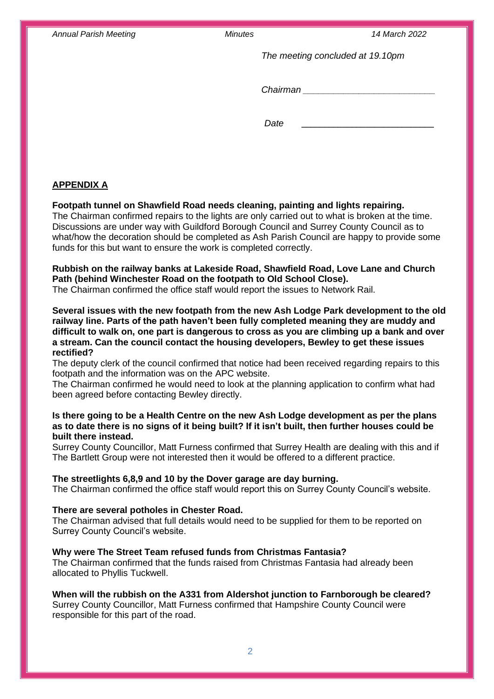*Annual Parish Meeting Minutes 14 March 2022*

*The meeting concluded at 19.10pm*

*Chairman \_\_\_\_\_\_\_\_\_\_\_\_\_\_\_\_\_\_\_\_\_\_\_\_\_\_*

*Date* **\_\_\_\_\_\_\_\_\_\_\_\_\_\_\_\_\_\_\_\_\_\_\_\_\_\_\_\_\_**

# **APPENDIX A**

# **Footpath tunnel on Shawfield Road needs cleaning, painting and lights repairing.**

The Chairman confirmed repairs to the lights are only carried out to what is broken at the time. Discussions are under way with Guildford Borough Council and Surrey County Council as to what/how the decoration should be completed as Ash Parish Council are happy to provide some funds for this but want to ensure the work is completed correctly.

# **Rubbish on the railway banks at Lakeside Road, Shawfield Road, Love Lane and Church Path (behind Winchester Road on the footpath to Old School Close).**

The Chairman confirmed the office staff would report the issues to Network Rail.

# **Several issues with the new footpath from the new Ash Lodge Park development to the old railway line. Parts of the path haven't been fully completed meaning they are muddy and difficult to walk on, one part is dangerous to cross as you are climbing up a bank and over a stream. Can the council contact the housing developers, Bewley to get these issues rectified?**

The deputy clerk of the council confirmed that notice had been received regarding repairs to this footpath and the information was on the APC website.

The Chairman confirmed he would need to look at the planning application to confirm what had been agreed before contacting Bewley directly.

# **Is there going to be a Health Centre on the new Ash Lodge development as per the plans as to date there is no signs of it being built? If it isn't built, then further houses could be built there instead.**

Surrey County Councillor, Matt Furness confirmed that Surrey Health are dealing with this and if The Bartlett Group were not interested then it would be offered to a different practice.

## **The streetlights 6,8,9 and 10 by the Dover garage are day burning.**

The Chairman confirmed the office staff would report this on Surrey County Council's website.

## **There are several potholes in Chester Road.**

The Chairman advised that full details would need to be supplied for them to be reported on Surrey County Council's website.

## **Why were The Street Team refused funds from Christmas Fantasia?**

The Chairman confirmed that the funds raised from Christmas Fantasia had already been allocated to Phyllis Tuckwell.

# **When will the rubbish on the A331 from Aldershot junction to Farnborough be cleared?**

Surrey County Councillor, Matt Furness confirmed that Hampshire County Council were responsible for this part of the road.